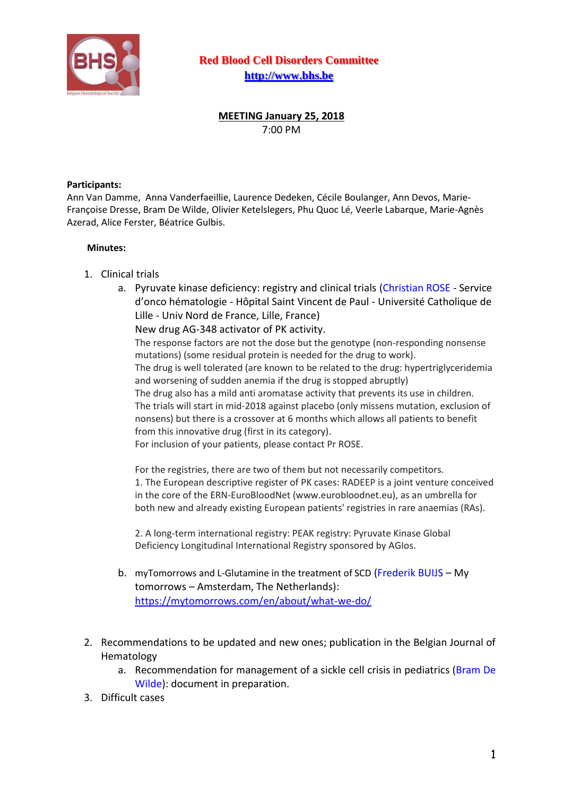

**Red Blood Cell Disorders Committee [http://www.bhs.be](http://www.bhs.be/)**

**MEETING January 25, 2018** 7:00 PM

## **Participants:**

Ann Van Damme, Anna Vanderfaeillie, Laurence Dedeken, Cécile Boulanger, Ann Devos, Marie-Françoise Dresse, Bram De Wilde, Olivier Ketelslegers, Phu Quoc Lé, Veerle Labarque, Marie-Agnès Azerad, Alice Ferster, Béatrice Gulbis.

## **Minutes:**

- 1. Clinical trials
	- a. Pyruvate kinase deficiency: registry and clinical trials (Christian ROSE Service d'onco hématologie - Hôpital Saint Vincent de Paul - Université Catholique de Lille - Univ Nord de France, Lille, France)

New drug AG-348 activator of PK activity.

The response factors are not the dose but the genotype (non-responding nonsense mutations) (some residual protein is needed for the drug to work).

The drug is well tolerated (are known to be related to the drug: hypertriglyceridemia and worsening of sudden anemia if the drug is stopped abruptly)

The drug also has a mild anti aromatase activity that prevents its use in children. The trials will start in mid-2018 against placebo (only missens mutation, exclusion of nonsens) but there is a crossover at 6 months which allows all patients to benefit from this innovative drug (first in its category).

For inclusion of your patients, please contact Pr ROSE.

For the registries, there are two of them but not necessarily competitors. 1. The European descriptive register of PK cases: RADEEP is a joint venture conceived in the core of the ERN-EuroBloodNet (www.eurobloodnet.eu), as an umbrella for both new and already existing European patients' registries in rare anaemias (RAs).

2. A long-term international registry: PEAK registry: Pyruvate Kinase Global Deficiency Longitudinal International Registry sponsored by AGIos.

- b. myTomorrows and L-Glutamine in the treatment of SCD (Frederik BUIJS My tomorrows – Amsterdam, The Netherlands): <https://mytomorrows.com/en/about/what-we-do/>
- 2. Recommendations to be updated and new ones; publication in the Belgian Journal of Hematology
	- a. Recommendation for management of a sickle cell crisis in pediatrics (Bram De Wilde): document in preparation.
- 3. Difficult cases